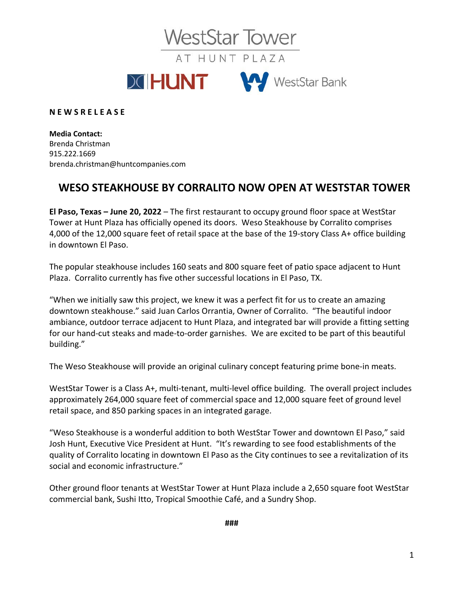**WestStar Tower** 

AT HUNT PLAZA



**N E W S R E L E A S E**

**Media Contact:** Brenda Christman 915.222.1669 brenda.christman@huntcompanies.com

## **WESO STEAKHOUSE BY CORRALITO NOW OPEN AT WESTSTAR TOWER**

**El Paso, Texas – June 20, 2022** – The first restaurant to occupy ground floor space at WestStar Tower at Hunt Plaza has officially opened its doors. Weso Steakhouse by Corralito comprises 4,000 of the 12,000 square feet of retail space at the base of the 19-story Class A+ office building in downtown El Paso.

The popular steakhouse includes 160 seats and 800 square feet of patio space adjacent to Hunt Plaza. Corralito currently has five other successful locations in El Paso, TX.

"When we initially saw this project, we knew it was a perfect fit for us to create an amazing downtown steakhouse." said Juan Carlos Orrantia, Owner of Corralito. "The beautiful indoor ambiance, outdoor terrace adjacent to Hunt Plaza, and integrated bar will provide a fitting setting for our hand-cut steaks and made-to-order garnishes. We are excited to be part of this beautiful building."

The Weso Steakhouse will provide an original culinary concept featuring prime bone-in meats.

WestStar Tower is a Class A+, multi-tenant, multi-level office building. The overall project includes approximately 264,000 square feet of commercial space and 12,000 square feet of ground level retail space, and 850 parking spaces in an integrated garage.

"Weso Steakhouse is a wonderful addition to both WestStar Tower and downtown El Paso," said Josh Hunt, Executive Vice President at Hunt. "It's rewarding to see food establishments of the quality of Corralito locating in downtown El Paso as the City continues to see a revitalization of its social and economic infrastructure."

Other ground floor tenants at WestStar Tower at Hunt Plaza include a 2,650 square foot WestStar commercial bank, Sushi Itto, Tropical Smoothie Café, and a Sundry Shop.